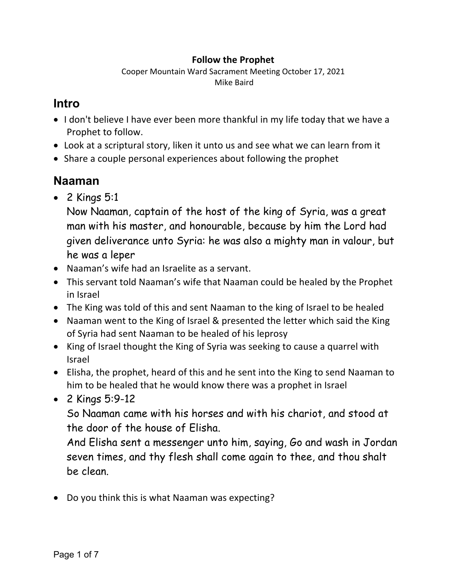#### **Follow the Prophet**

Cooper Mountain Ward Sacrament Meeting October 17, 2021 Mike Baird

#### **Intro**

- I don't believe I have ever been more thankful in my life today that we have a Prophet to follow.
- Look at a scriptural story, liken it unto us and see what we can learn from it
- Share a couple personal experiences about following the prophet

## **Naaman**

• 2 Kings 5:1

Now Naaman, captain of the host of the king of Syria, was a great man with his master, and honourable, because by him the Lord had given deliverance unto Syria: he was also a mighty man in valour, but he was a leper

- Naaman's wife had an Israelite as a servant.
- This servant told Naaman's wife that Naaman could be healed by the Prophet in Israel
- The King was told of this and sent Naaman to the king of Israel to be healed
- Naaman went to the King of Israel & presented the letter which said the King of Syria had sent Naaman to be healed of his leprosy
- King of Israel thought the King of Syria was seeking to cause a quarrel with Israel
- Elisha, the prophet, heard of this and he sent into the King to send Naaman to him to be healed that he would know there was a prophet in Israel
- 2 Kings 5:9-12

So Naaman came with his horses and with his chariot, and stood at the door of the house of Elisha.

And Elisha sent a messenger unto him, saying, Go and wash in Jordan seven times, and thy flesh shall come again to thee, and thou shalt be clean.

• Do you think this is what Naaman was expecting?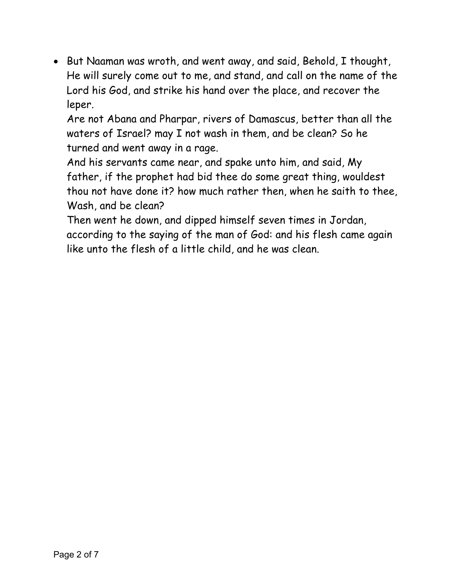• But Naaman was wroth, and went away, and said, Behold, I thought, He will surely come out to me, and stand, and call on the name of the Lord his God, and strike his hand over the place, and recover the leper.

Are not Abana and Pharpar, rivers of Damascus, better than all the waters of Israel? may I not wash in them, and be clean? So he turned and went away in a rage.

And his servants came near, and spake unto him, and said, My father, if the prophet had bid thee do some great thing, wouldest thou not have done it? how much rather then, when he saith to thee, Wash, and be clean?

Then went he down, and dipped himself seven times in Jordan, according to the saying of the man of God: and his flesh came again like unto the flesh of a little child, and he was clean.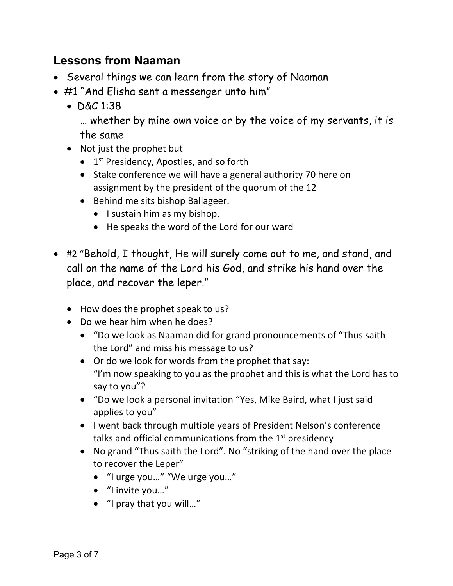## **Lessons from Naaman**

- Several things we can learn from the story of Naaman
- #1 "And Elisha sent a messenger unto him"
	- D&C 1:38

… whether by mine own voice or by the voice of my servants, it is the same

- Not just the prophet but
	- $\bullet$  1<sup>st</sup> Presidency, Apostles, and so forth
	- Stake conference we will have a general authority 70 here on assignment by the president of the quorum of the 12
	- Behind me sits bishop Ballageer.
		- I sustain him as my bishop.
		- He speaks the word of the Lord for our ward
- #2 "Behold, I thought, He will surely come out to me, and stand, and call on the name of the Lord his God, and strike his hand over the place, and recover the leper."
	- How does the prophet speak to us?
	- Do we hear him when he does?
		- "Do we look as Naaman did for grand pronouncements of "Thus saith the Lord" and miss his message to us?
		- Or do we look for words from the prophet that say: "I'm now speaking to you as the prophet and this is what the Lord has to say to you"?
		- "Do we look a personal invitation "Yes, Mike Baird, what I just said applies to you"
		- I went back through multiple years of President Nelson's conference talks and official communications from the  $1<sup>st</sup>$  presidency
		- No grand "Thus saith the Lord". No "striking of the hand over the place to recover the Leper"
			- "I urge you…" "We urge you…"
			- "I invite you…"
			- "I pray that you will…"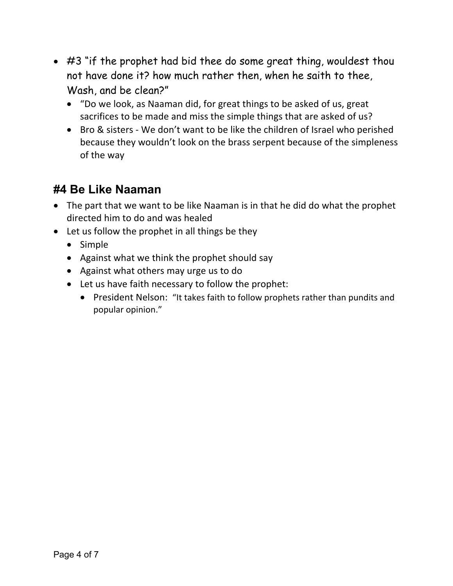- #3 "if the prophet had bid thee do some great thing, wouldest thou not have done it? how much rather then, when he saith to thee, Wash, and be clean?"
	- "Do we look, as Naaman did, for great things to be asked of us, great sacrifices to be made and miss the simple things that are asked of us?
	- Bro & sisters We don't want to be like the children of Israel who perished because they wouldn't look on the brass serpent because of the simpleness of the way

## **#4 Be Like Naaman**

- The part that we want to be like Naaman is in that he did do what the prophet directed him to do and was healed
- Let us follow the prophet in all things be they
	- Simple
	- Against what we think the prophet should say
	- Against what others may urge us to do
	- Let us have faith necessary to follow the prophet:
		- President Nelson: "It takes faith to follow prophets rather than pundits and popular opinion."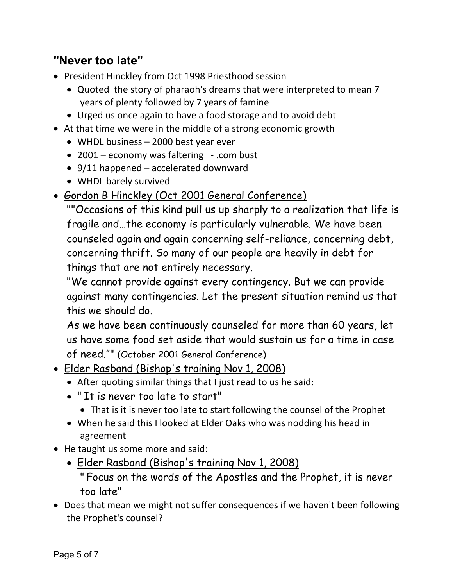# **"Never too late"**

- President Hinckley from Oct 1998 Priesthood session
	- Quoted the story of pharaoh's dreams that were interpreted to mean 7 years of plenty followed by 7 years of famine
	- Urged us once again to have a food storage and to avoid debt
- At that time we were in the middle of a strong economic growth
	- WHDL business 2000 best year ever
	- 2001 economy was faltering .com bust
	- 9/11 happened accelerated downward
	- WHDL barely survived
- Gordon B Hinckley (Oct 2001 General Conference)

""Occasions of this kind pull us up sharply to a realization that life is fragile and…the economy is particularly vulnerable. We have been counseled again and again concerning self-reliance, concerning debt, concerning thrift. So many of our people are heavily in debt for things that are not entirely necessary.

"We cannot provide against every contingency. But we can provide against many contingencies. Let the present situation remind us that this we should do.

As we have been continuously counseled for more than 60 years, let us have some food set aside that would sustain us for a time in case of need."" (October 2001 General Conference)

- Elder Rasband (Bishop's training Nov 1, 2008)
	- After quoting similar things that I just read to us he said:
	- " It is never too late to start"
		- That is it is never too late to start following the counsel of the Prophet
	- When he said this I looked at Elder Oaks who was nodding his head in agreement
- He taught us some more and said:
	- Elder Rasband (Bishop's training Nov 1, 2008)

" Focus on the words of the Apostles and the Prophet, it is never too late"

• Does that mean we might not suffer consequences if we haven't been following the Prophet's counsel?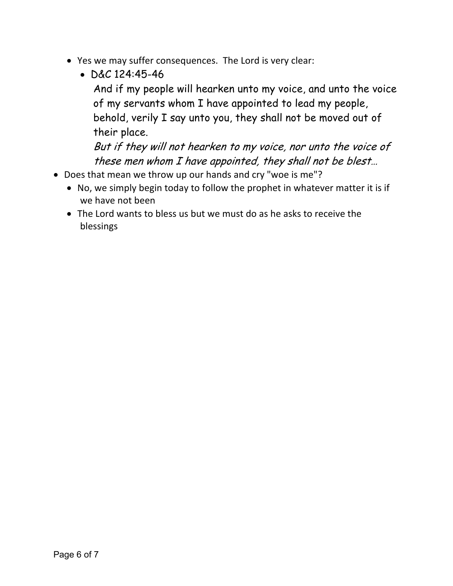- Yes we may suffer consequences. The Lord is very clear:
	- $DAC$  124:45-46

And if my people will hearken unto my voice, and unto the voice of my servants whom I have appointed to lead my people, behold, verily I say unto you, they shall not be moved out of their place.

But if they will not hearken to my voice, nor unto the voice of these men whom I have appointed, they shall not be blest…

- Does that mean we throw up our hands and cry "woe is me"?
	- No, we simply begin today to follow the prophet in whatever matter it is if we have not been
	- The Lord wants to bless us but we must do as he asks to receive the blessings